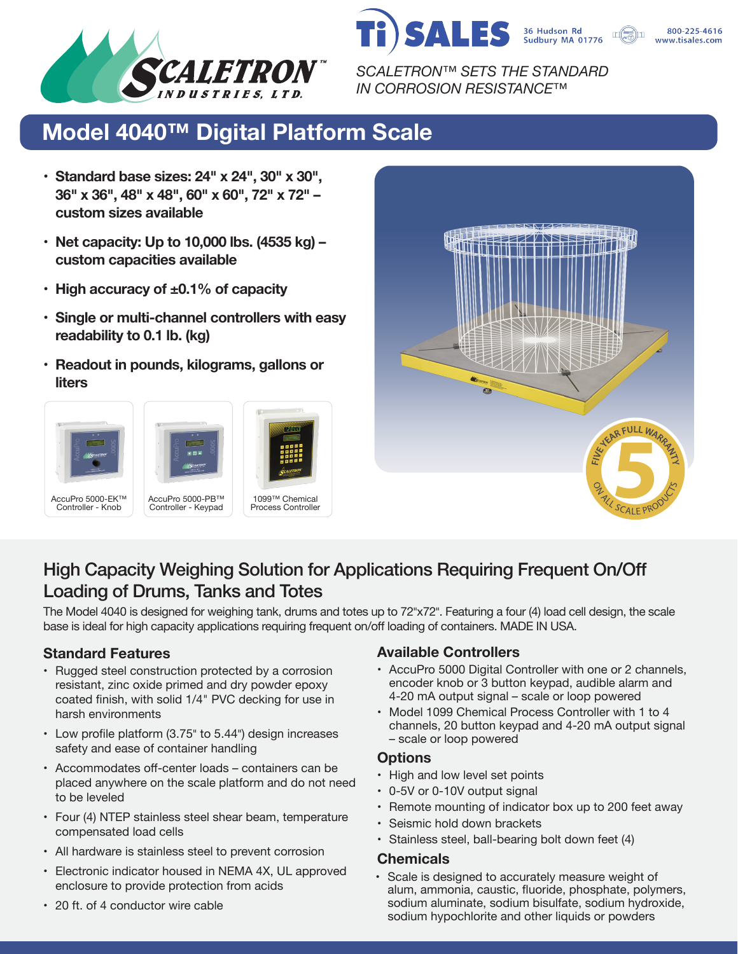



800-225-4616 www.tisales.com

*SCALETRON™ SETS THE STANDARD IN CORROSION RESISTANCE™*

## **Model 4040™ Digital Platform Scale**

- **• Standard base sizes: 24" x 24", 30" x 30", 36" x 36", 48" x 48", 60" x 60", 72" x 72" – custom sizes available**
- **• Net capacity: Up to 10,000 lbs. (4535 kg) – custom capacities available**
- **• High accuracy of ±0.1% of capacity**
- **• Single or multi-channel controllers with easy readability to 0.1 lb. (kg)**
- **• Readout in pounds, kilograms, gallons or liters**









### High Capacity Weighing Solution for Applications Requiring Frequent On/Off Loading of Drums, Tanks and Totes

The Model 4040 is designed for weighing tank, drums and totes up to 72"x72". Featuring a four (4) load cell design, the scale base is ideal for high capacity applications requiring frequent on/off loading of containers. MADE IN USA.

- Rugged steel construction protected by a corrosion resistant, zinc oxide primed and dry powder epoxy coated finish, with solid 1/4" PVC decking for use in harsh environments
- Low profile platform (3.75" to 5.44") design increases safety and ease of container handling
- Accommodates off-center loads containers can be placed anywhere on the scale platform and do not need to be leveled
- Four (4) NTEP stainless steel shear beam, temperature compensated load cells
- All hardware is stainless steel to prevent corrosion
- Electronic indicator housed in NEMA 4X, UL approved enclosure to provide protection from acids

#### **Standard Features Available Controllers**

- AccuPro 5000 Digital Controller with one or 2 channels, encoder knob or 3 button keypad, audible alarm and 4-20 mA output signal – scale or loop powered
- Model 1099 Chemical Process Controller with 1 to 4 channels, 20 button keypad and 4-20 mA output signal – scale or loop powered

#### **Options**

- High and low level set points
- 0-5V or 0-10V output signal
- Remote mounting of indicator box up to 200 feet away
- Seismic hold down brackets
- Stainless steel, ball-bearing bolt down feet (4)

#### **Chemicals**

• Scale is designed to accurately measure weight of alum, ammonia, caustic, fluoride, phosphate, polymers, sodium aluminate, sodium bisulfate, sodium hydroxide, sodium hypochlorite and other liquids or powders

• 20 ft. of 4 conductor wire cable